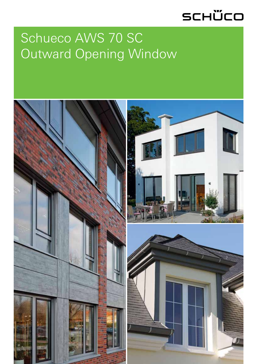# SCHÜCO

# Schueco AWS 70 SC Outward Opening Window

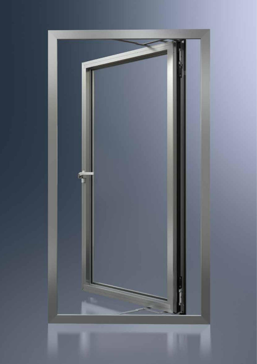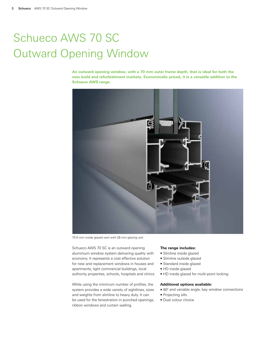## Schueco AWS 70 SC Outward Opening Window

**An outward opening window, with a 70 mm outer frame depth, that is ideal for both the new build and refurbishment markets. Economically priced, it is a versatile addition to the Schueco AWS range.**



70.5 mm inside glazed vent with 28 mm glazing unit

Schueco AWS 70 SC is an outward opening aluminium window system delivering quality with economy. It represents a cost effective solution for new and replacement windows in houses and apartments, light commercial buildings, local authority properties, schools, hospitals and clinics.

While using the minimum number of profiles, the system provides a wide variety of sightlines, sizes and weights from slimline to heavy duty. It can be used for the fenestration in punched openings, ribbon windows and curtain walling.

#### **The range includes:**

- Slimline inside glazed
- Slimline outside glazed
- Standard inside glazed
- HD inside glazed
- HD inside glazed for multi-point locking

#### **Additional options available:**

- $\blacksquare$  90 $\textdegree$  and variable angle, bay window connections
- Projecting sills
- Dual colour choice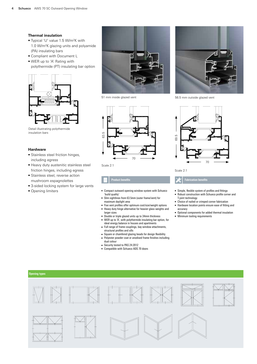#### **Thermal insulation**

- Typical 'U' value 1.5 W/m<sup>2</sup>K with 1.0 W/m2 K glazing units and polyamide (PA) insulating bars
- Compliant with Document L
- WER up to 'A' Rating with polythermide (PT) insulating bar option



Detail illustrating polythermide insulation bars

#### **Hardware**

- Stainless steel friction hinges, including egress
- Heavy duty austenitic stainless steel friction hinges, including egress
- Stainless steel, reverse action mushroom espagnolettes
- 3-sided locking system for large vents
- Opening limiters



51 mm inside glazed vent





#### **Product benefits Fabrication benefits**

- **EXECOMPACT OUT COMPACT OPENION SYSTEM WITH SCHUECO** 'build quality'
- Slim sightlines from 63.5mm (outer frame/vent) for maximum daylight area
- Five vent profiles offer optimum cost/size/weight options n Heavy duty hinge alternative for heavier glass weights and
- larger sizes ■ Double or triple glazed units up to 34mm thickness
- n WER up to 'A', with polythermide insulating bar option, for
- ideal energy balance in houses and apartments
- n Full range of frame couplings, bay window attachments, structural profiles and sills
- n Square or chamfered glazing beads for design flexibility n Polyester powder coat or anodised frame finishes including
- dual colour
- Security tested to PAS 24:2012
- Compatible with Schueco ADS 70 doors



56.5 mm outside glazed vent



Scale 2:1

- **EXECUTE:** Simple, flexible system of profiles and fittings
- n Robust construction with Schueco profile corner and T-joint technology
- Choice of nailed or crimped corner fabrication
- Hardware location points ensure ease of fitting and accuracy
- n Optional components for added thermal insulation
- $\blacksquare$  Minimum tooling requirements

### **Opening types**

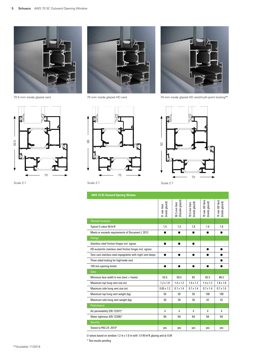







70.5 mm inside glazed vent 70 mm inside glazed HD vent 74 mm inside glazed HD vent/multi-point locking\*\*





| <b>AWS 70 SC Outward Opening Window</b>                    |                               |                                 |                                 |                                  |                                  |
|------------------------------------------------------------|-------------------------------|---------------------------------|---------------------------------|----------------------------------|----------------------------------|
|                                                            | (Inside glazed)<br>51 mm Vent | Outside glazed)<br>56.5 mm Vent | 70.5 mm Vent<br>(Inside glazed) | 70 mm HD Vent<br>(Inside glazed) | 74 mm HD Vent<br>(Inside glazed) |
| <b>Thermal Insulaton</b>                                   |                               |                                 |                                 |                                  |                                  |
| Typical U value W/m <sup>2</sup> K                         | 1.5                           | 1.5                             | 1.6                             | 1.6                              | 1.6                              |
| Meets or exceeds requirements of Document L 2013           | ■                             | ■                               | ■                               | ■                                |                                  |
| <b>Fittings</b>                                            |                               |                                 |                                 |                                  |                                  |
| Stainless steel friction hinges incl. egress               | ▪                             | п                               | ■                               |                                  |                                  |
| HD austenitic stainless steel friction hinges incl. egress |                               |                                 |                                 |                                  | ▪                                |
| Twin cam stainless steel espagolette with night vent keeps |                               | ■                               |                                 |                                  | ▪                                |
| Three-sided locking for high/wide vent                     |                               |                                 |                                 |                                  | ■                                |
| 100 mm opening limiter                                     | ▬                             | ▬                               | ▬                               | ▬                                | ■                                |
| <b>Sizes</b>                                               |                               |                                 |                                 |                                  |                                  |
| Minimum face width in mm (vent $+$ frame)                  | 63.5                          | 69.5                            | 83                              | 82.5                             | 86.5                             |
| Maximum top hung vent size (m)                             | $1.2 \times 1.0$              | $1.4 \times 1.2$                | $1.4 \times 1.2$                | $1.4 \times 1.2$                 | $1.8 \times 1.8$                 |
| Maximum side hung vent size (m)                            | $0.65 \times 1.2$             | $0.7 \times 1.4$                | $0.7 \times 1.4$                | $0.7 \times 1.4$                 | $0.7 \times 1.6$                 |
| Maximum top hung vent weight (kg)                          | 50                            | 50                              | 50                              | 100                              | 100                              |
| Maximum side hung vent weight (kg)                         | 30                            | 30                              | 30                              | 42                               | 42                               |
| Performance                                                |                               |                                 |                                 |                                  |                                  |
| Air permeability (EN 12207)*                               | $\overline{4}$                | 4                               | 4                               | 4                                | 4                                |
| Water tightness (EN 12208)*                                | 9A                            | <b>9A</b>                       | <b>9A</b>                       | <b>9A</b>                        | <b>9A</b>                        |
| <b>Security</b>                                            |                               |                                 |                                 |                                  |                                  |
| Tested to PAS 24: 2014*                                    | yes                           | yes                             | yes                             | yes                              | yes                              |

U values based on window 1.2 m x 1.0 m with 1.0 W/m<sup>2</sup>K glazing and  $\psi$  0.04

\* Test results pending